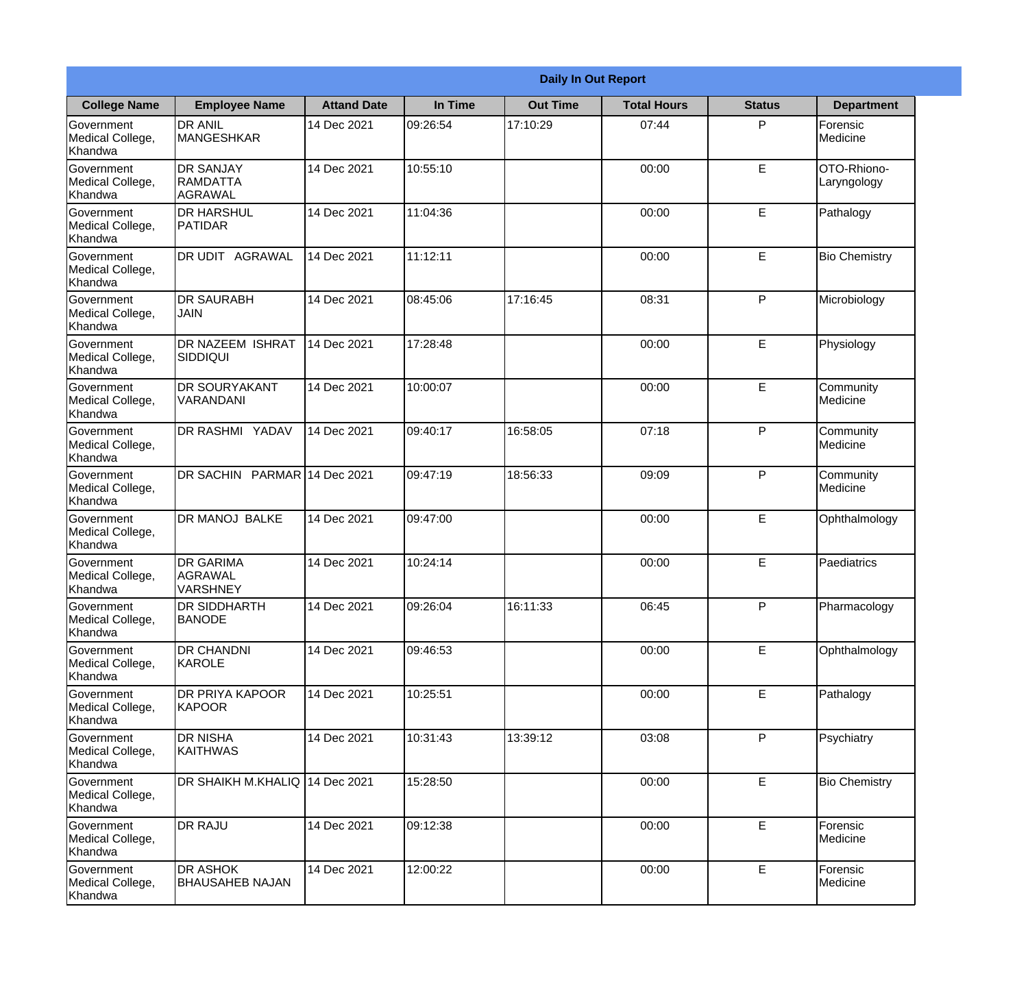|                                                  | <b>Daily In Out Report</b>                            |                    |          |                 |                    |               |                            |
|--------------------------------------------------|-------------------------------------------------------|--------------------|----------|-----------------|--------------------|---------------|----------------------------|
| <b>College Name</b>                              | <b>Employee Name</b>                                  | <b>Attand Date</b> | In Time  | <b>Out Time</b> | <b>Total Hours</b> | <b>Status</b> | <b>Department</b>          |
| Government<br>Medical College,<br>Khandwa        | <b>DR ANIL</b><br><b>MANGESHKAR</b>                   | 14 Dec 2021        | 09:26:54 | 17:10:29        | 07:44              | P             | Forensic<br>Medicine       |
| Government<br>Medical College,<br>Khandwa        | <b>DR SANJAY</b><br><b>RAMDATTA</b><br><b>AGRAWAL</b> | 14 Dec 2021        | 10:55:10 |                 | 00:00              | $\mathsf E$   | OTO-Rhiono-<br>Laryngology |
| Government<br>Medical College,<br>Khandwa        | <b>DR HARSHUL</b><br>PATIDAR                          | 14 Dec 2021        | 11:04:36 |                 | 00:00              | E             | Pathalogy                  |
| <b>Government</b><br>Medical College,<br>Khandwa | DR UDIT AGRAWAL                                       | 14 Dec 2021        | 11:12:11 |                 | 00:00              | E             | <b>Bio Chemistry</b>       |
| Government<br>Medical College,<br>Khandwa        | <b>DR SAURABH</b><br><b>JAIN</b>                      | 14 Dec 2021        | 08:45:06 | 17:16:45        | 08:31              | P             | Microbiology               |
| <b>Government</b><br>Medical College,<br>Khandwa | <b>DR NAZEEM ISHRAT</b><br><b>SIDDIQUI</b>            | 14 Dec 2021        | 17:28:48 |                 | 00:00              | E             | Physiology                 |
| Government<br>Medical College,<br>Khandwa        | <b>DR SOURYAKANT</b><br>VARANDANI                     | 14 Dec 2021        | 10:00:07 |                 | 00:00              | E             | Community<br>Medicine      |
| <b>Government</b><br>Medical College,<br>Khandwa | DR RASHMI YADAV                                       | 14 Dec 2021        | 09:40:17 | 16:58:05        | 07:18              | P             | Community<br>Medicine      |
| Government<br>Medical College,<br>Khandwa        | DR SACHIN PARMAR 14 Dec 2021                          |                    | 09:47:19 | 18:56:33        | 09:09              | P             | Community<br>Medicine      |
| Government<br>Medical College,<br>Khandwa        | <b>DR MANOJ BALKE</b>                                 | 14 Dec 2021        | 09:47:00 |                 | 00:00              | $\mathsf E$   | Ophthalmology              |
| Government<br>Medical College,<br>Khandwa        | <b>DR GARIMA</b><br>AGRAWAL<br>VARSHNEY               | 14 Dec 2021        | 10:24:14 |                 | 00:00              | E             | Paediatrics                |
| Government<br>Medical College,<br>Khandwa        | <b>DR SIDDHARTH</b><br><b>BANODE</b>                  | 14 Dec 2021        | 09:26:04 | 16:11:33        | 06:45              | P             | Pharmacology               |
| Government<br>Medical College,<br>Khandwa        | <b>DR CHANDNI</b><br>KAROLE                           | 14 Dec 2021        | 09:46:53 |                 | 00:00              | E             | Ophthalmology              |
| Government<br>Medical College,<br>Khandwa        | <b>DR PRIYA KAPOOR</b><br>KAPOOR                      | 14 Dec 2021        | 10:25:51 |                 | 00:00              | $\mathsf E$   | Pathalogy                  |
| Government<br>Medical College,<br>Khandwa        | <b>DR NISHA</b><br><b>KAITHWAS</b>                    | 14 Dec 2021        | 10:31:43 | 13:39:12        | 03:08              | P             | Psychiatry                 |
| Government<br>Medical College,<br>Khandwa        | DR SHAIKH M.KHALIQ 14 Dec 2021                        |                    | 15:28:50 |                 | 00:00              | E             | <b>Bio Chemistry</b>       |
| Government<br>Medical College,<br>Khandwa        | <b>DR RAJU</b>                                        | 14 Dec 2021        | 09:12:38 |                 | 00:00              | $\mathsf E$   | Forensic<br>Medicine       |
| Government<br>Medical College,<br>Khandwa        | <b>DR ASHOK</b><br><b>BHAUSAHEB NAJAN</b>             | 14 Dec 2021        | 12:00:22 |                 | 00:00              | E             | Forensic<br>Medicine       |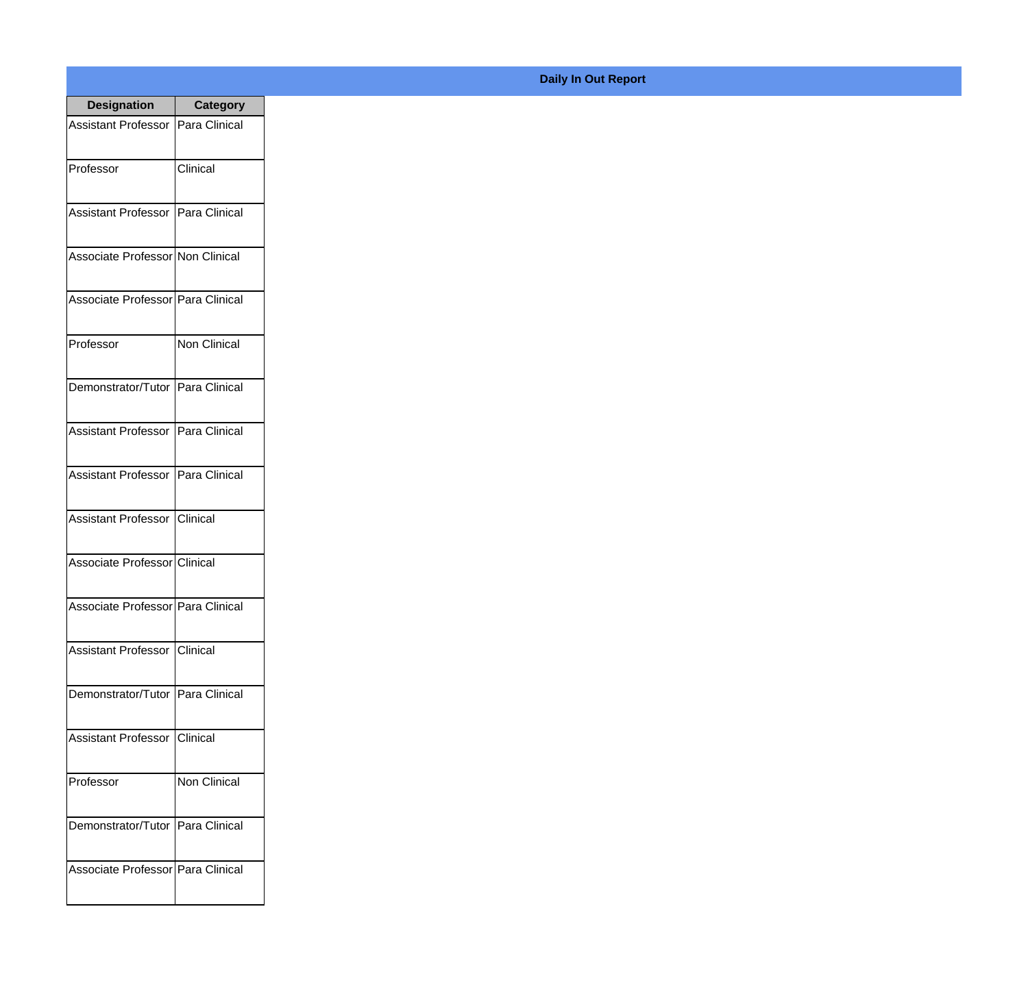| <b>Designation</b>                  | <b>Category</b>     |
|-------------------------------------|---------------------|
| Assistant Professor   Para Clinical |                     |
| Professor                           | Clinical            |
| Assistant Professor   Para Clinical |                     |
| Associate Professor Non Clinical    |                     |
| Associate Professor   Para Clinical |                     |
| Professor                           | Non Clinical        |
| Demonstrator/Tutor   Para Clinical  |                     |
| Assistant Professor   Para Clinical |                     |
| Assistant Professor   Para Clinical |                     |
| Assistant Professor   Clinical      |                     |
| Associate Professor Clinical        |                     |
| Associate Professor   Para Clinical |                     |
| Assistant Professor   Clinical      |                     |
| Demonstrator/Tutor   Para Clinical  |                     |
| Assistant Professor   Clinical      |                     |
| Professor                           | <b>Non Clinical</b> |
| Demonstrator/Tutor   Para Clinical  |                     |
| Associate Professor Para Clinical   |                     |

## **Daily In Out Report**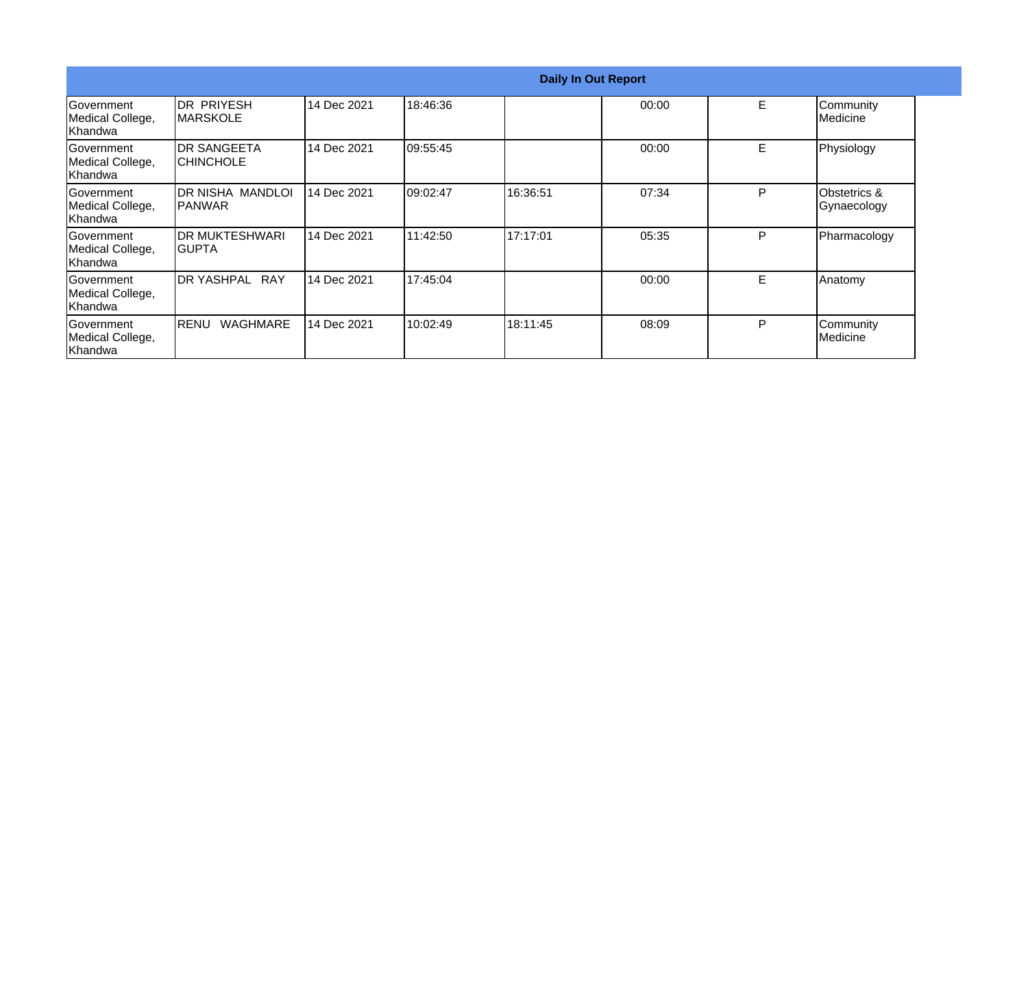|                                                  |                                        |             |           | <b>Daily In Out Report</b> |       |    |                                        |
|--------------------------------------------------|----------------------------------------|-------------|-----------|----------------------------|-------|----|----------------------------------------|
| <b>Government</b><br>Medical College,<br>Khandwa | <b>IDR PRIYESH</b><br><b>IMARSKOLE</b> | 14 Dec 2021 | 18:46:36  |                            | 00:00 | E  | Community<br>Medicine                  |
| <b>Government</b><br>Medical College,<br>Khandwa | IDR SANGEETA<br><b>CHINCHOLE</b>       | 14 Dec 2021 | 09:55:45  |                            | 00:00 | E. | Physiology                             |
| Government<br>Medical College,<br>Khandwa        | IDR NISHA MANDLOI<br>IPANWAR           | 14 Dec 2021 | 109:02:47 | 16:36:51                   | 07:34 | P  | <b>Obstetrics &amp;</b><br>Gynaecology |
| Government<br>Medical College,<br>Khandwa        | IDR MUKTESHWARI<br>IGUPTA              | 14 Dec 2021 | 11:42:50  | 17:17:01                   | 05:35 | P  | Pharmacology                           |
| Government<br>Medical College,<br>Khandwa        | IDR YASHPAL<br>RAY                     | 14 Dec 2021 | 17:45:04  |                            | 00:00 | E  | Anatomy                                |
| <b>Sovernment</b><br>Medical College,<br>Khandwa | <b>WAGHMARE</b><br><b>RENU</b>         | 14 Dec 2021 | 10:02:49  | 18:11:45                   | 08:09 | P  | Community<br>Medicine                  |